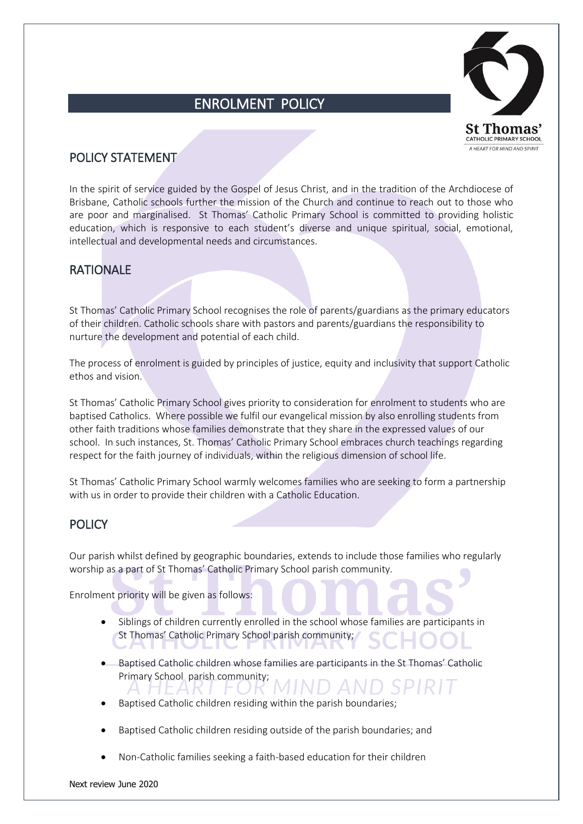## ENROLMENT POLICY



### POLICY STATEMENT

In the spirit of service guided by the Gospel of Jesus Christ, and in the tradition of the Archdiocese of Brisbane, Catholic schools further the mission of the Church and continue to reach out to those who are poor and marginalised. St Thomas' Catholic Primary School is committed to providing holistic education, which is responsive to each student's diverse and unique spiritual, social, emotional, intellectual and developmental needs and circumstances.

#### RATIONALE

St Thomas' Catholic Primary School recognises the role of parents/guardians as the primary educators of their children. Catholic schools share with pastors and parents/guardians the responsibility to nurture the development and potential of each child.

The process of enrolment is guided by principles of justice, equity and inclusivity that support Catholic ethos and vision.

St Thomas' Catholic Primary School gives priority to consideration for enrolment to students who are baptised Catholics. Where possible we fulfil our evangelical mission by also enrolling students from other faith traditions whose families demonstrate that they share in the expressed values of our school. In such instances, St. Thomas' Catholic Primary School embraces church teachings regarding respect for the faith journey of individuals, within the religious dimension of school life.

St Thomas' Catholic Primary School warmly welcomes families who are seeking to form a partnership with us in order to provide their children with a Catholic Education.

#### **POLICY**

Our parish whilst defined by geographic boundaries, extends to include those families who regularly worship as a part of St Thomas' Catholic Primary School parish community.

Enrolment priority will be given as follows:

- Siblings of children currently enrolled in the school whose families are participants in St Thomas' Catholic Primary School parish community;
- Baptised Catholic children whose families are participants in the St Thomas' Catholic Primary School parish community;
- Baptised Catholic children residing within the parish boundaries;
- Baptised Catholic children residing outside of the parish boundaries; and
- Non-Catholic families seeking a faith-based education for their children